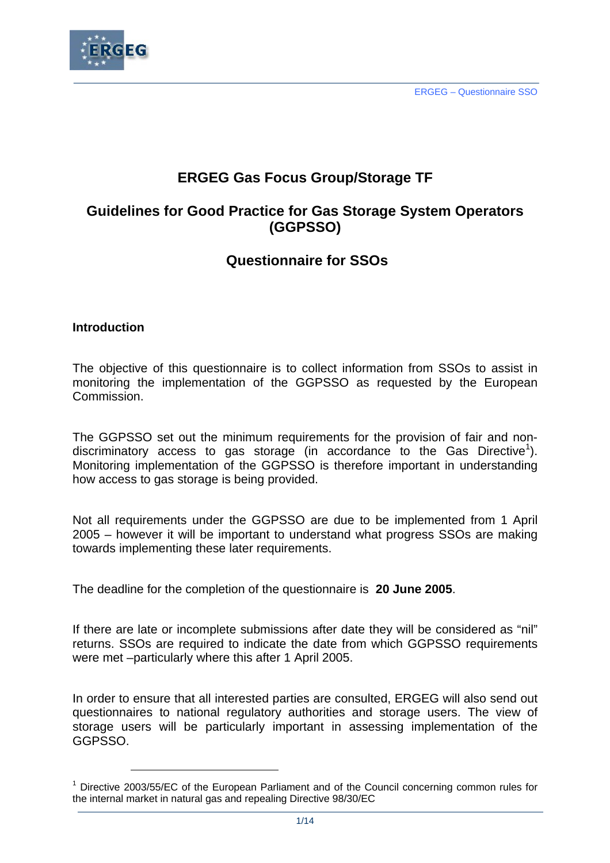

# **ERGEG Gas Focus Group/Storage TF**

# **Guidelines for Good Practice for Gas Storage System Operators (GGPSSO)**

# **Questionnaire for SSOs**

# **Introduction**

 $\overline{a}$ 

The objective of this questionnaire is to collect information from SSOs to assist in monitoring the implementation of the GGPSSO as requested by the European Commission.

The GGPSSO set out the minimum requirements for the provision of fair and non-discriminatory access to gas storage (in accordance to the Gas Directive<sup>1</sup>[\)](#page-0-0). Monitoring implementation of the GGPSSO is therefore important in understanding how access to gas storage is being provided.

Not all requirements under the GGPSSO are due to be implemented from 1 April 2005 – however it will be important to understand what progress SSOs are making towards implementing these later requirements.

The deadline for the completion of the questionnaire is **20 June 2005**.

If there are late or incomplete submissions after date they will be considered as "nil" returns. SSOs are required to indicate the date from which GGPSSO requirements were met –particularly where this after 1 April 2005.

In order to ensure that all interested parties are consulted, ERGEG will also send out questionnaires to national regulatory authorities and storage users. The view of storage users will be particularly important in assessing implementation of the GGPSSO.

<span id="page-0-0"></span><sup>&</sup>lt;sup>1</sup> Directive 2003/55/EC of the European Parliament and of the Council concerning common rules for the internal market in natural gas and repealing Directive 98/30/EC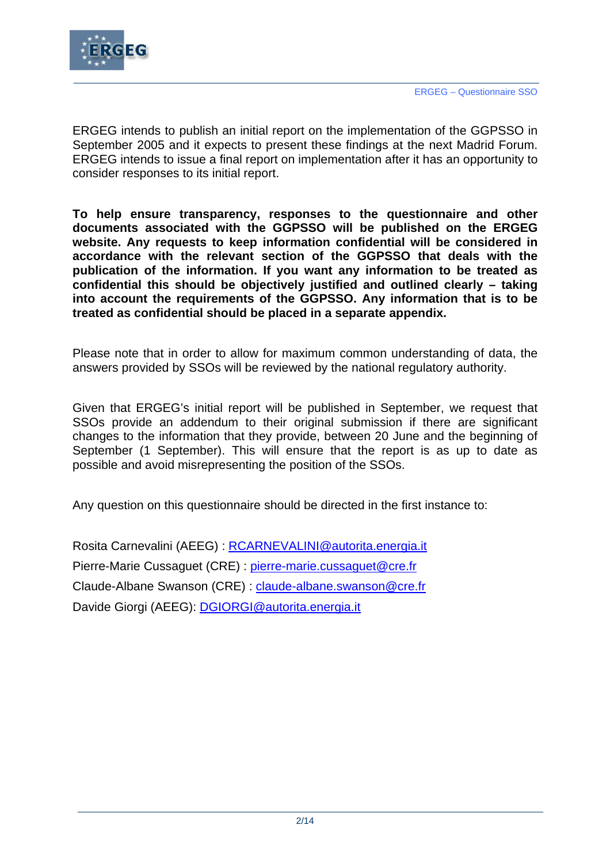

ERGEG intends to publish an initial report on the implementation of the GGPSSO in September 2005 and it expects to present these findings at the next Madrid Forum. ERGEG intends to issue a final report on implementation after it has an opportunity to consider responses to its initial report.

**To help ensure transparency, responses to the questionnaire and other documents associated with the GGPSSO will be published on the ERGEG website. Any requests to keep information confidential will be considered in accordance with the relevant section of the GGPSSO that deals with the publication of the information. If you want any information to be treated as confidential this should be objectively justified and outlined clearly – taking into account the requirements of the GGPSSO. Any information that is to be treated as confidential should be placed in a separate appendix.** 

Please note that in order to allow for maximum common understanding of data, the answers provided by SSOs will be reviewed by the national regulatory authority.

Given that ERGEG's initial report will be published in September, we request that SSOs provide an addendum to their original submission if there are significant changes to the information that they provide, between 20 June and the beginning of September (1 September). This will ensure that the report is as up to date as possible and avoid misrepresenting the position of the SSOs.

Any question on this questionnaire should be directed in the first instance to:

Rosita Carnevalini (AEEG) : [RCARNEVALINI@autorita.energia.it](mailto:RCARNEVALINI@autorita.energia.it) Pierre-Marie Cussaguet (CRE) : [pierre-marie.cussaguet@cre.fr](mailto:pierre-marie.cussaguet@cre.fr) Claude-Albane Swanson (CRE) : [claude-albane.swanson@cre.fr](mailto:claude-albane.swanson@cre.fr) Davide Giorgi (AEEG): [DGIORGI@autorita.energia.it](mailto:DGIORGI@autorita.energia.it)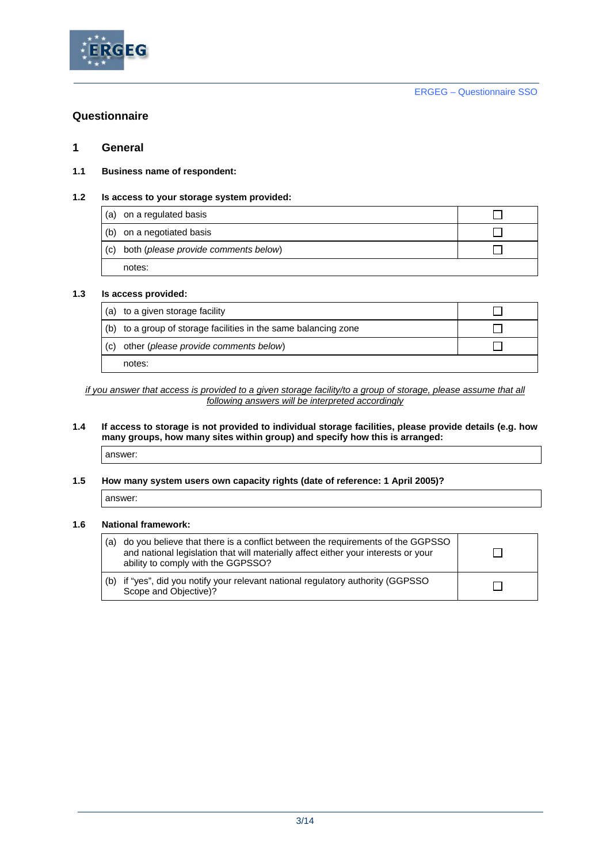

# **Questionnaire**

### **1 General**

### **1.1 Business name of respondent:**

### **1.2 Is access to your storage system provided:**

| (a) on a regulated basis                 |  |
|------------------------------------------|--|
| (b) on a negotiated basis                |  |
| (c) both (please provide comments below) |  |
| notes:                                   |  |

### **1.3 Is access provided:**

|     | (a) to a given storage facility                                 |  |
|-----|-----------------------------------------------------------------|--|
|     | (b) to a group of storage facilities in the same balancing zone |  |
| (c) | other (please provide comments below)                           |  |
|     | notes:                                                          |  |

*if you answer that access is provided to a given storage facility/to a group of storage, please assume that all following answers will be interpreted accordingly*

### **1.4 If access to storage is not provided to individual storage facilities, please provide details (e.g. how many groups, how many sites within group) and specify how this is arranged:**

answer:

### **1.5 How many system users own capacity rights (date of reference: 1 April 2005)?**

answer:

### **1.6 National framework:**

| (a) | do you believe that there is a conflict between the requirements of the GGPSSO<br>and national legislation that will materially affect either your interests or your<br>ability to comply with the GGPSSO? |  |
|-----|------------------------------------------------------------------------------------------------------------------------------------------------------------------------------------------------------------|--|
|     | (b) if "yes", did you notify your relevant national regulatory authority (GGPSSO<br>Scope and Objective)?                                                                                                  |  |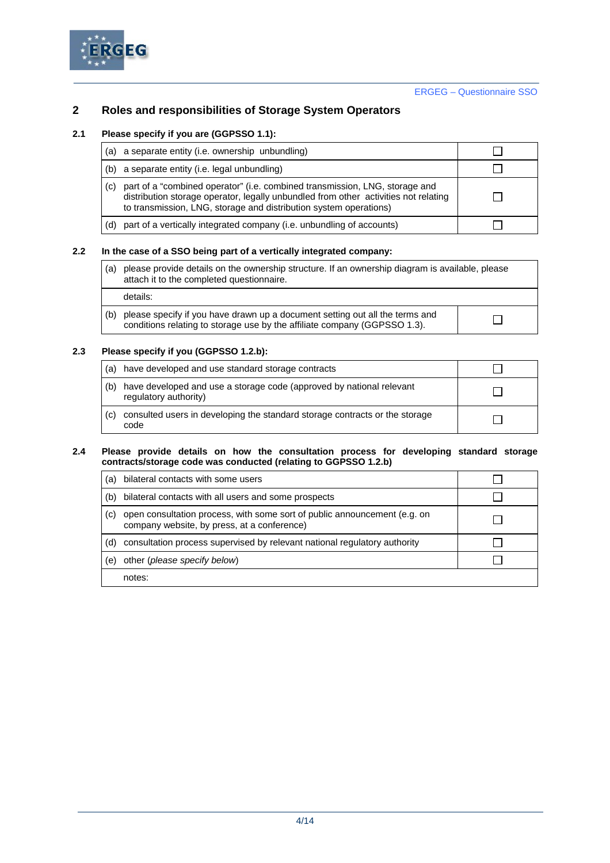

## **2 Roles and responsibilities of Storage System Operators**

### **2.1 Please specify if you are (GGPSSO 1.1):**

|     | (a) a separate entity (i.e. ownership unbundling)                                                                                                                                                                                       |  |
|-----|-----------------------------------------------------------------------------------------------------------------------------------------------------------------------------------------------------------------------------------------|--|
|     | (b) a separate entity (i.e. legal unbundling)                                                                                                                                                                                           |  |
| (c) | part of a "combined operator" (i.e. combined transmission, LNG, storage and<br>distribution storage operator, legally unbundled from other activities not relating<br>to transmission, LNG, storage and distribution system operations) |  |
| (d) | part of a vertically integrated company (i.e. unbundling of accounts)                                                                                                                                                                   |  |

### **2.2 In the case of a SSO being part of a vertically integrated company:**

| (a) | please provide details on the ownership structure. If an ownership diagram is available, please<br>attach it to the completed questionnaire. |
|-----|----------------------------------------------------------------------------------------------------------------------------------------------|
|     | details:                                                                                                                                     |
|     |                                                                                                                                              |

|  | (b) please specify if you have drawn up a document setting out all the terms and<br>conditions relating to storage use by the affiliate company (GGPSSO 1.3). |  |
|--|---------------------------------------------------------------------------------------------------------------------------------------------------------------|--|
|--|---------------------------------------------------------------------------------------------------------------------------------------------------------------|--|

### **2.3 Please specify if you (GGPSSO 1.2.b):**

| (a) | have developed and use standard storage contracts                                             |  |
|-----|-----------------------------------------------------------------------------------------------|--|
| (b) | have developed and use a storage code (approved by national relevant<br>regulatory authority) |  |
| (c) | consulted users in developing the standard storage contracts or the storage<br>code           |  |

#### **2.4 Please provide details on how the consultation process for developing standard storage contracts/storage code was conducted (relating to GGPSSO 1.2.b)**

| (a) | bilateral contacts with some users                                                                                       |  |
|-----|--------------------------------------------------------------------------------------------------------------------------|--|
| (b) | bilateral contacts with all users and some prospects                                                                     |  |
| (C) | open consultation process, with some sort of public announcement (e.g. on<br>company website, by press, at a conference) |  |
| (d) | consultation process supervised by relevant national regulatory authority                                                |  |
| (e) | other (please specify below)                                                                                             |  |
|     | notes:                                                                                                                   |  |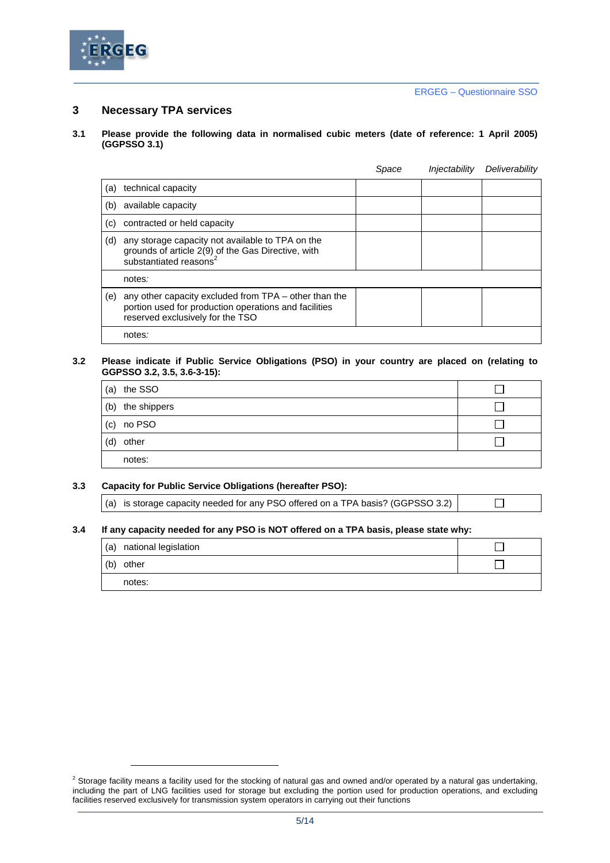

### **3 Necessary TPA services**

#### **3.1 Please provide the following data in normalised cubic meters (date of reference: 1 April 2005) (GGPSSO 3.1)**

|     |                                                                                                                                                    | Space | Injectability | Deliverability |
|-----|----------------------------------------------------------------------------------------------------------------------------------------------------|-------|---------------|----------------|
| (a) | technical capacity                                                                                                                                 |       |               |                |
| (b) | available capacity                                                                                                                                 |       |               |                |
| (c) | contracted or held capacity                                                                                                                        |       |               |                |
| (d) | any storage capacity not available to TPA on the<br>grounds of article 2(9) of the Gas Directive, with<br>substantiated reasons <sup>2</sup>       |       |               |                |
|     | notes:                                                                                                                                             |       |               |                |
| (e) | any other capacity excluded from TPA – other than the<br>portion used for production operations and facilities<br>reserved exclusively for the TSO |       |               |                |
|     | notes <i>:</i>                                                                                                                                     |       |               |                |

#### **3.2 Please indicate if Public Service Obligations (PSO) in your country are placed on (relating to GGPSSO 3.2, 3.5, 3.6-3-15):**

| the SSO<br>(a)   |  |
|------------------|--|
| (b) the shippers |  |
| (c) no PSO       |  |
| other<br>(d)     |  |
| notes:           |  |

### **3.3 Capacity for Public Service Obligations (hereafter PSO):**

(a) is storage capacity needed for any PSO offered on a TPA basis? (GGPSSO 3.2)

 $\Box$ 

### **3.4 If any capacity needed for any PSO is NOT offered on a TPA basis, please state why:**

| (a) national legislation |  |
|--------------------------|--|
| (b) other                |  |
| notes:                   |  |

<span id="page-4-0"></span> $^2$  Storage facility means a facility used for the stocking of natural gas and owned and/or operated by a natural gas undertaking, including the part of LNG facilities used for storage but excluding the portion used for production operations, and excluding facilities reserved exclusively for transmission system operators in carrying out their functions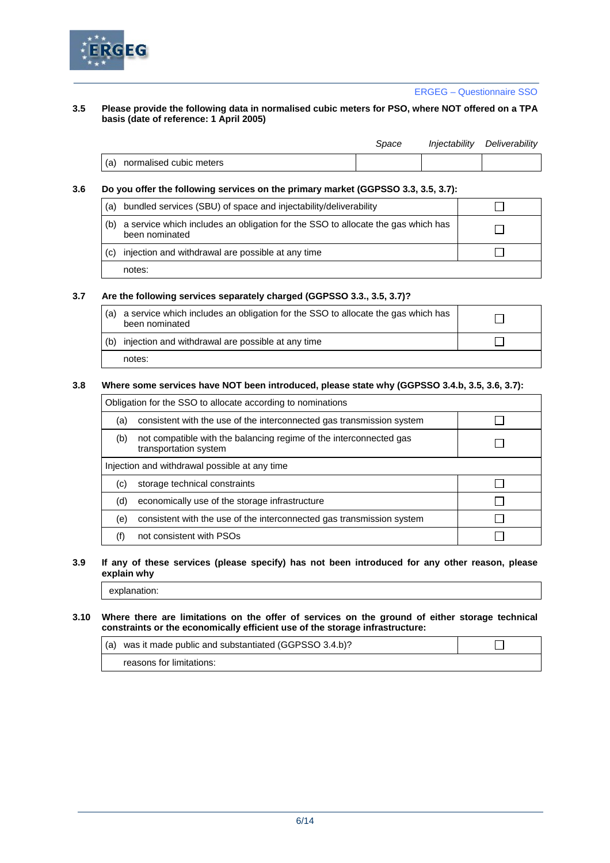

#### **3.5 Please provide the following data in normalised cubic meters for PSO, where NOT offered on a TPA basis (date of reference: 1 April 2005)**

|                             | Space | Injectability Deliverability |
|-----------------------------|-------|------------------------------|
| (a) normalised cubic meters |       |                              |

#### **3.6 Do you offer the following services on the primary market (GGPSSO 3.3, 3.5, 3.7):**

| (a) | bundled services (SBU) of space and injectability/deliverability                                   |  |
|-----|----------------------------------------------------------------------------------------------------|--|
| (b) | a service which includes an obligation for the SSO to allocate the gas which has<br>been nominated |  |
| (c) | injection and withdrawal are possible at any time                                                  |  |
|     | notes:                                                                                             |  |

### **3.7 Are the following services separately charged (GGPSSO 3.3., 3.5, 3.7)?**

| (a) | a service which includes an obligation for the SSO to allocate the gas which has<br>been nominated |  |
|-----|----------------------------------------------------------------------------------------------------|--|
| (b) | injection and withdrawal are possible at any time                                                  |  |
|     | notes:                                                                                             |  |

#### **3.8 Where some services have NOT been introduced, please state why (GGPSSO 3.4.b, 3.5, 3.6, 3.7):**

| Obligation for the SSO to allocate according to nominations |                                                                                             |  |  |
|-------------------------------------------------------------|---------------------------------------------------------------------------------------------|--|--|
| (a)                                                         | consistent with the use of the interconnected gas transmission system                       |  |  |
| (b)                                                         | not compatible with the balancing regime of the interconnected gas<br>transportation system |  |  |
| Injection and withdrawal possible at any time               |                                                                                             |  |  |
| (c)                                                         | storage technical constraints                                                               |  |  |
| (d)                                                         | economically use of the storage infrastructure                                              |  |  |
| (e)                                                         | consistent with the use of the interconnected gas transmission system                       |  |  |
|                                                             | not consistent with PSOs                                                                    |  |  |

#### **3.9 If any of these services (please specify) has not been introduced for any other reason, please explain why**

explanation:

#### **3.10 Where there are limitations on the offer of services on the ground of either storage technical constraints or the economically efficient use of the storage infrastructure:**

| (a) was it made public and substantiated (GGPSSO 3.4.b)? |  |
|----------------------------------------------------------|--|
| reasons for limitations:                                 |  |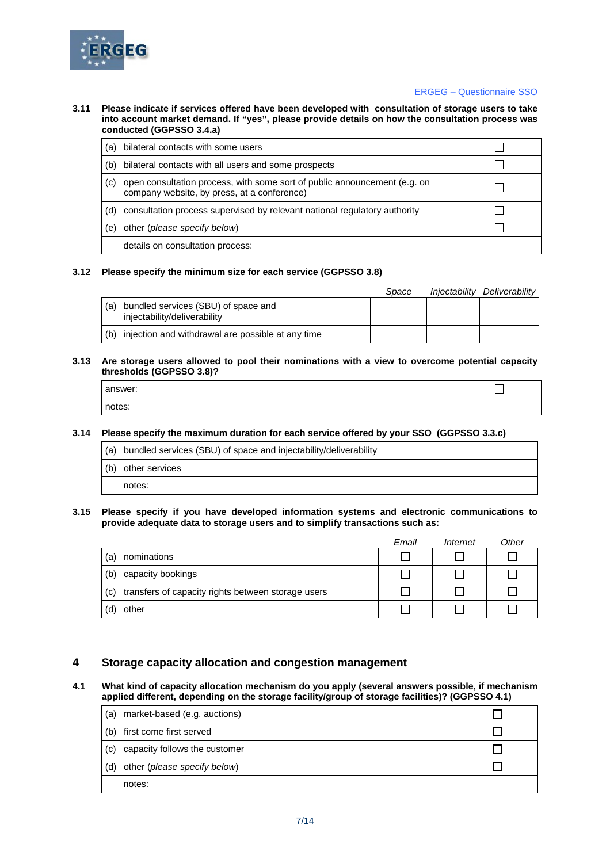

#### **3.11 Please indicate if services offered have been developed with consultation of storage users to take into account market demand. If "yes", please provide details on how the consultation process was conducted (GGPSSO 3.4.a)**

| (a) | bilateral contacts with some users                                                                                       |  |
|-----|--------------------------------------------------------------------------------------------------------------------------|--|
| (b) | bilateral contacts with all users and some prospects                                                                     |  |
| (C) | open consultation process, with some sort of public announcement (e.g. on<br>company website, by press, at a conference) |  |
| (d) | consultation process supervised by relevant national regulatory authority                                                |  |
| (e) | other (please specify below)                                                                                             |  |
|     | details on consultation process:                                                                                         |  |

### **3.12 Please specify the minimum size for each service (GGPSSO 3.8)**

|     |                                                                     | Space | Iniectability | Deliverabilitv |
|-----|---------------------------------------------------------------------|-------|---------------|----------------|
| (a) | bundled services (SBU) of space and<br>injectability/deliverability |       |               |                |
| (b) | injection and withdrawal are possible at any time                   |       |               |                |

#### **3.13 Are storage users allowed to pool their nominations with a view to overcome potential capacity thresholds (GGPSSO 3.8)?**

| answer: |  |
|---------|--|
| notes:  |  |

### **3.14 Please specify the maximum duration for each service offered by your SSO (GGPSSO 3.3.c)**

| (a) bundled services (SBU) of space and injectability/deliverability |  |
|----------------------------------------------------------------------|--|
| (b) other services                                                   |  |
| notes:                                                               |  |

#### **3.15 Please specify if you have developed information systems and electronic communications to provide adequate data to storage users and to simplify transactions such as:**

|                          |                                                    | Email | Internet | Other |
|--------------------------|----------------------------------------------------|-------|----------|-------|
| nominations<br>(a)       |                                                    |       |          |       |
| capacity bookings<br>(b) |                                                    |       |          |       |
| (c)                      | transfers of capacity rights between storage users |       |          |       |
| other                    |                                                    |       |          |       |

### **4 Storage capacity allocation and congestion management**

#### **4.1 What kind of capacity allocation mechanism do you apply (several answers possible, if mechanism applied different, depending on the storage facility/group of storage facilities)? (GGPSSO 4.1)**

| (a) | market-based (e.g. auctions)  |  |
|-----|-------------------------------|--|
| (b) | first come first served       |  |
| (c) | capacity follows the customer |  |
| (d) | other (please specify below)  |  |
|     | notes:                        |  |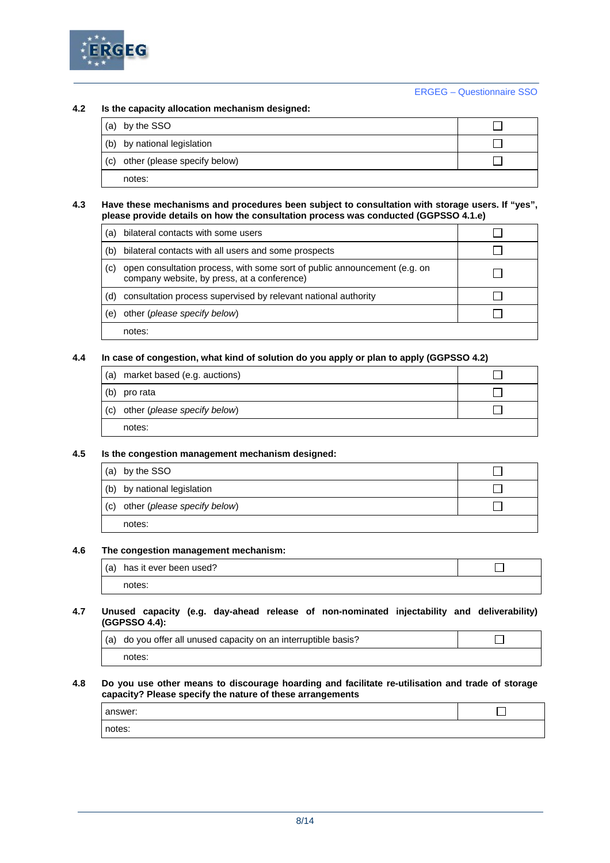

### **4.2 Is the capacity allocation mechanism designed:**

|     | (a) by the SSO               |  |
|-----|------------------------------|--|
|     | (b) by national legislation  |  |
| (c) | other (please specify below) |  |
|     | notes:                       |  |

#### **4.3 Have these mechanisms and procedures been subject to consultation with storage users. If "yes", please provide details on how the consultation process was conducted (GGPSSO 4.1.e)**

| (a) | bilateral contacts with some users                                                                                       |  |
|-----|--------------------------------------------------------------------------------------------------------------------------|--|
| (b) | bilateral contacts with all users and some prospects                                                                     |  |
| (C) | open consultation process, with some sort of public announcement (e.g. on<br>company website, by press, at a conference) |  |
| (d) | consultation process supervised by relevant national authority                                                           |  |
| (e) | other (please specify below)                                                                                             |  |
|     | notes:                                                                                                                   |  |

### **4.4 In case of congestion, what kind of solution do you apply or plan to apply (GGPSSO 4.2)**

| market based (e.g. auctions)<br>(a)  |  |
|--------------------------------------|--|
| (b)<br>pro rata                      |  |
| other (please specify below)<br> (c) |  |
| notes:                               |  |

### **4.5 Is the congestion management mechanism designed:**

| (a) | by the SSO                   |  |
|-----|------------------------------|--|
|     | (b) by national legislation  |  |
| (c) | other (please specify below) |  |
|     | notes:                       |  |

### **4.6 The congestion management mechanism:**

| (a) has it ever been used? |  |
|----------------------------|--|
| notes:                     |  |

#### **4.7 Unused capacity (e.g. day-ahead release of non-nominated injectability and deliverability) (GGPSSO 4.4):**

| (a) do you offer all unused capacity on an interruptible basis? |  |
|-----------------------------------------------------------------|--|
| notes:                                                          |  |

#### **4.8 Do you use other means to discourage hoarding and facilitate re-utilisation and trade of storage capacity? Please specify the nature of these arrangements**

| answer: |  |
|---------|--|
| notes:  |  |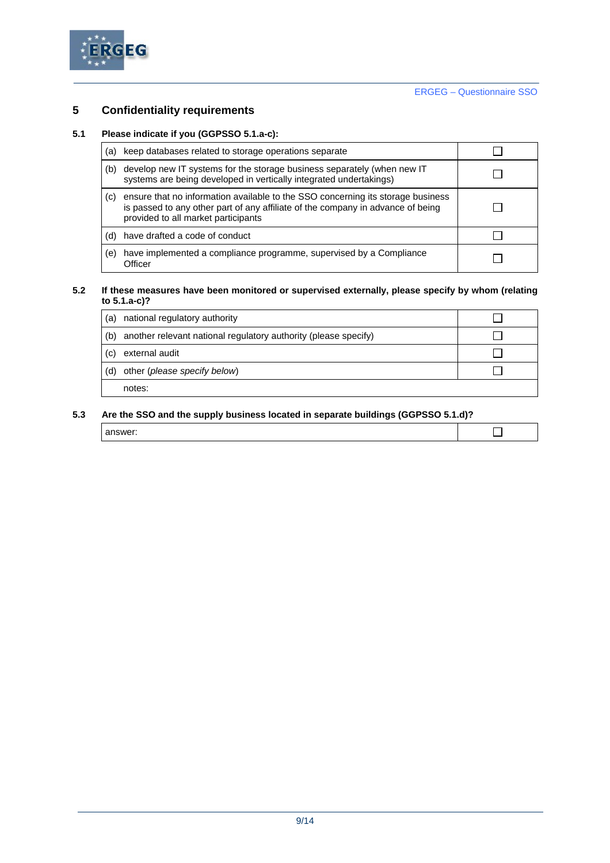

# **5 Confidentiality requirements**

### **5.1 Please indicate if you (GGPSSO 5.1.a-c):**

| (a) | keep databases related to storage operations separate                                                                                                                                                     |  |
|-----|-----------------------------------------------------------------------------------------------------------------------------------------------------------------------------------------------------------|--|
| (b) | develop new IT systems for the storage business separately (when new IT<br>systems are being developed in vertically integrated undertakings)                                                             |  |
| (c) | ensure that no information available to the SSO concerning its storage business<br>is passed to any other part of any affiliate of the company in advance of being<br>provided to all market participants |  |
| (d) | have drafted a code of conduct                                                                                                                                                                            |  |
| (e) | have implemented a compliance programme, supervised by a Compliance<br>Officer                                                                                                                            |  |

#### **5.2 If these measures have been monitored or supervised externally, please specify by whom (relating to 5.1.a-c)?**

| (a) | national regulatory authority                                   |  |
|-----|-----------------------------------------------------------------|--|
| (b) | another relevant national regulatory authority (please specify) |  |
| (c) | external audit                                                  |  |
| (d) | other (please specify below)                                    |  |
|     | notes:                                                          |  |

### **5.3 Are the SSO and the supply business located in separate buildings (GGPSSO 5.1.d)?**

| $\sim$ $ \sim$ $\sim$ |  |
|-----------------------|--|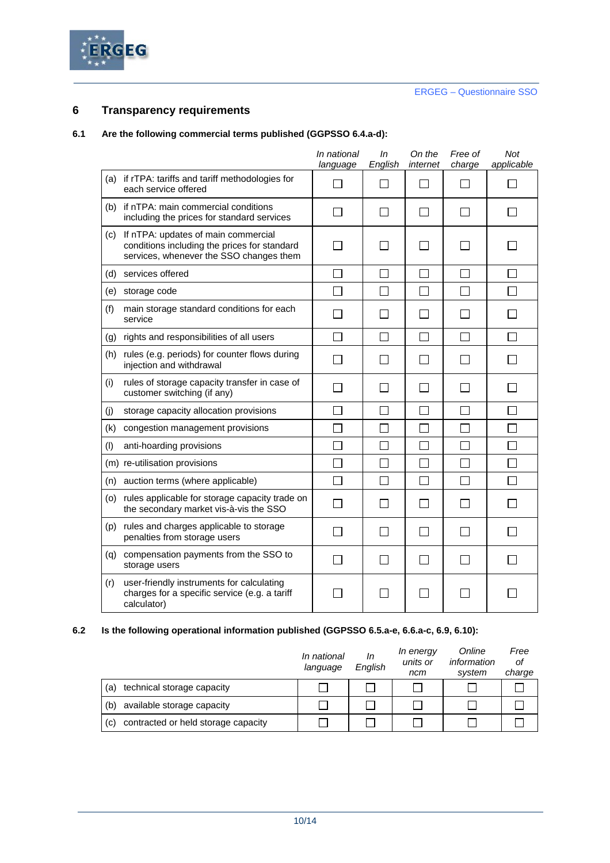

### **6 Transparency requirements**

### **6.1 Are the following commercial terms published (GGPSSO 6.4.a-d):**

|     |                                                                                                                                | In national<br>language  | ln<br>English | On the<br>internet          | Free of<br>charge | Not<br>applicable |
|-----|--------------------------------------------------------------------------------------------------------------------------------|--------------------------|---------------|-----------------------------|-------------------|-------------------|
| (a) | if rTPA: tariffs and tariff methodologies for<br>each service offered                                                          | ΙI                       | $\mathsf{L}$  | $\mathbf{I}$                |                   |                   |
| (b) | if nTPA: main commercial conditions<br>including the prices for standard services                                              | ΙI                       |               | $\mathbf{I}$                |                   |                   |
| (c) | If nTPA: updates of main commercial<br>conditions including the prices for standard<br>services, whenever the SSO changes them | $\sim$                   |               | $\mathcal{L}$               |                   |                   |
| (d) | services offered                                                                                                               | $\mathsf{L}$             | $\Box$        | $\mathcal{L}_{\mathcal{A}}$ |                   |                   |
| (e) | storage code                                                                                                                   | $\mathsf{L}$             | $\mathbf{L}$  | H                           | $\mathsf{I}$      |                   |
| (f) | main storage standard conditions for each<br>service                                                                           |                          |               |                             |                   |                   |
| (g) | rights and responsibilities of all users                                                                                       | П                        | П             | П                           |                   |                   |
| (h) | rules (e.g. periods) for counter flows during<br>injection and withdrawal                                                      |                          |               |                             |                   |                   |
| (i) | rules of storage capacity transfer in case of<br>customer switching (if any)                                                   |                          |               | $\mathbb{R}$                |                   |                   |
| (i) | storage capacity allocation provisions                                                                                         |                          |               |                             |                   |                   |
| (k) | congestion management provisions                                                                                               |                          |               |                             |                   |                   |
| (1) | anti-hoarding provisions                                                                                                       | $\overline{\phantom{a}}$ | $\mathsf{L}$  | П                           | $\mathbf{I}$      |                   |
|     | (m) re-utilisation provisions                                                                                                  | $\Box$                   | П             | $\Box$                      |                   |                   |
| (n) | auction terms (where applicable)                                                                                               | П                        | $\mathcal{L}$ | $\overline{\phantom{a}}$    | <b>Talling</b>    |                   |
| (o) | rules applicable for storage capacity trade on<br>the secondary market vis-à-vis the SSO                                       | $\mathbf{I}$             | $\mathbf{I}$  | H                           |                   |                   |
| (p) | rules and charges applicable to storage<br>penalties from storage users                                                        | $\mathbf{I}$             | $\mathbf{I}$  | $\sim$                      |                   |                   |
| (q) | compensation payments from the SSO to<br>storage users                                                                         | П                        | $\mathbf{L}$  | $\overline{\phantom{0}}$    |                   |                   |
| (r) | user-friendly instruments for calculating<br>charges for a specific service (e.g. a tariff<br>calculator)                      |                          |               | $\mathcal{L}$               |                   |                   |

### **6.2 Is the following operational information published (GGPSSO 6.5.a-e, 6.6.a-c, 6.9, 6.10):**

|                                            | In national<br>language | In<br>English | In energy<br>units or<br>ncm | Online<br>information<br>system | Free<br>οf<br>charge |
|--------------------------------------------|-------------------------|---------------|------------------------------|---------------------------------|----------------------|
| technical storage capacity<br>(a)          |                         |               |                              |                                 |                      |
| available storage capacity<br>(b)          |                         |               |                              |                                 |                      |
| contracted or held storage capacity<br>(c) |                         |               |                              |                                 |                      |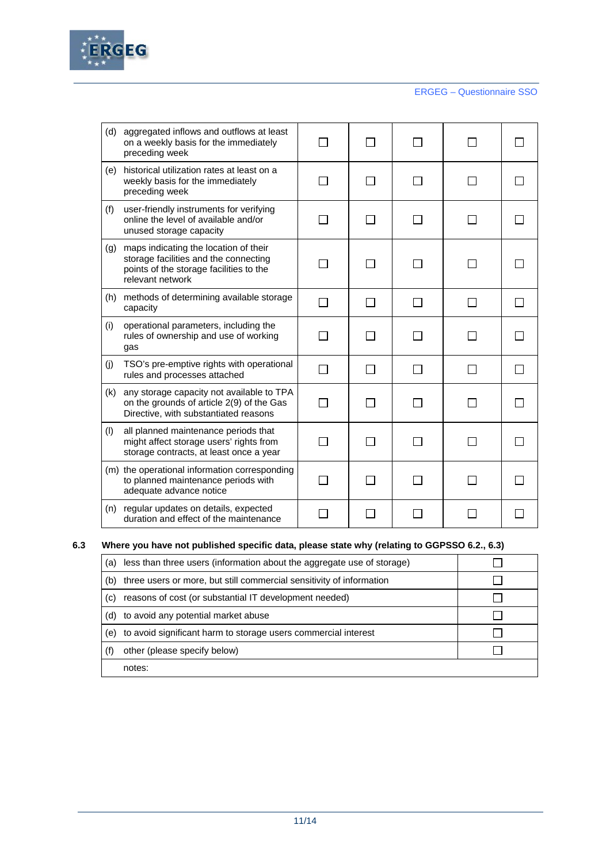

| (d) | aggregated inflows and outflows at least<br>on a weekly basis for the immediately<br>preceding week                                           |        |                |                          |  |
|-----|-----------------------------------------------------------------------------------------------------------------------------------------------|--------|----------------|--------------------------|--|
| (e) | historical utilization rates at least on a<br>weekly basis for the immediately<br>preceding week                                              |        |                |                          |  |
| (f) | user-friendly instruments for verifying<br>online the level of available and/or<br>unused storage capacity                                    |        |                |                          |  |
| (g) | maps indicating the location of their<br>storage facilities and the connecting<br>points of the storage facilities to the<br>relevant network | $\sim$ |                |                          |  |
| (h) | methods of determining available storage<br>capacity                                                                                          | П      | $\blacksquare$ | $\overline{\phantom{a}}$ |  |
| (i) | operational parameters, including the<br>rules of ownership and use of working<br>gas                                                         |        |                |                          |  |
| (j) | TSO's pre-emptive rights with operational<br>rules and processes attached                                                                     |        |                |                          |  |
| (k) | any storage capacity not available to TPA<br>on the grounds of article 2(9) of the Gas<br>Directive, with substantiated reasons               |        |                |                          |  |
| (1) | all planned maintenance periods that<br>might affect storage users' rights from<br>storage contracts, at least once a year                    |        |                |                          |  |
|     | (m) the operational information corresponding<br>to planned maintenance periods with<br>adequate advance notice                               |        |                |                          |  |
|     | (n) regular updates on details, expected<br>duration and effect of the maintenance                                                            |        |                |                          |  |

### **6.3 Where you have not published specific data, please state why (relating to GGPSSO 6.2., 6.3)**

| (a) | less than three users (information about the aggregate use of storage) |  |
|-----|------------------------------------------------------------------------|--|
| (b) | three users or more, but still commercial sensitivity of information   |  |
| (c) | reasons of cost (or substantial IT development needed)                 |  |
| (d) | to avoid any potential market abuse                                    |  |
| (e) | to avoid significant harm to storage users commercial interest         |  |
|     | other (please specify below)                                           |  |
|     | notes:                                                                 |  |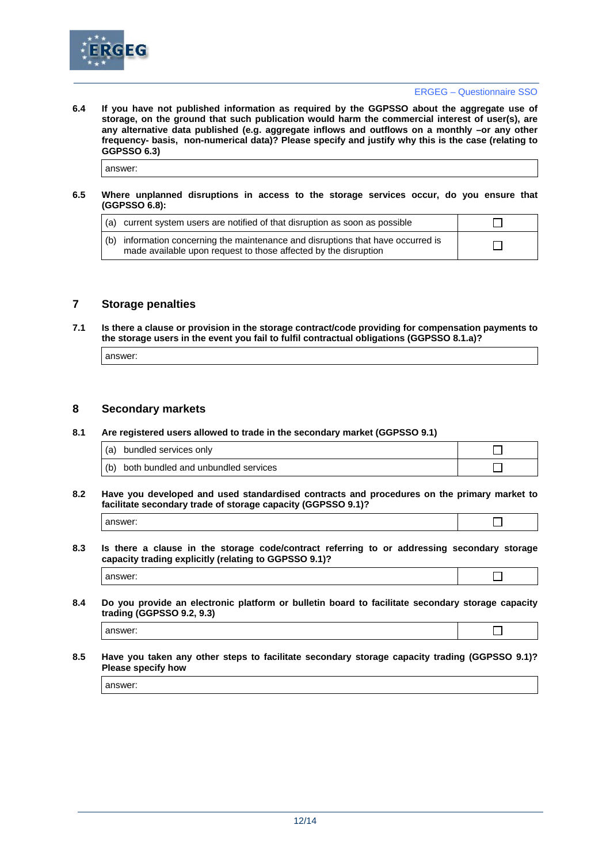

 $\Box$ 

 $\Box$ 

 $\Box$ 

**6.4 If you have not published information as required by the GGPSSO about the aggregate use of storage, on the ground that such publication would harm the commercial interest of user(s), are any alternative data published (e.g. aggregate inflows and outflows on a monthly –or any other frequency- basis, non-numerical data)? Please specify and justify why this is the case (relating to GGPSSO 6.3)**

answer:

#### **6.5 Where unplanned disruptions in access to the storage services occur, do you ensure that (GGPSSO 6.8):**

| (a) current system users are notified of that disruption as soon as possible                                                                        |  |
|-----------------------------------------------------------------------------------------------------------------------------------------------------|--|
| (b) information concerning the maintenance and disruptions that have occurred is<br>made available upon request to those affected by the disruption |  |

### **7 Storage penalties**

**7.1 Is there a clause or provision in the storage contract/code providing for compensation payments to the storage users in the event you fail to fulfil contractual obligations (GGPSSO 8.1.a)?** 

| answer |
|--------|

### **8 Secondary markets**

#### **8.1 Are registered users allowed to trade in the secondary market (GGPSSO 9.1)**

| (a) bundled services only               |  |
|-----------------------------------------|--|
| (b) both bundled and unbundled services |  |

### **8.2 Have you developed and used standardised contracts and procedures on the primary market to facilitate secondary trade of storage capacity (GGPSSO 9.1)?**

- answer:
- **8.3 Is there a clause in the storage code/contract referring to or addressing secondary storage capacity trading explicitly (relating to GGPSSO 9.1)?**

| 8.4 | Do you provide an electronic platform or bulletin board to facilitate secondary storage capacity |
|-----|--------------------------------------------------------------------------------------------------|
|     | trading (GGPSSO 9.2, 9.3)                                                                        |

answer:

answer:

**8.5 Have you taken any other steps to facilitate secondary storage capacity trading (GGPSSO 9.1)? Please specify how**

answer: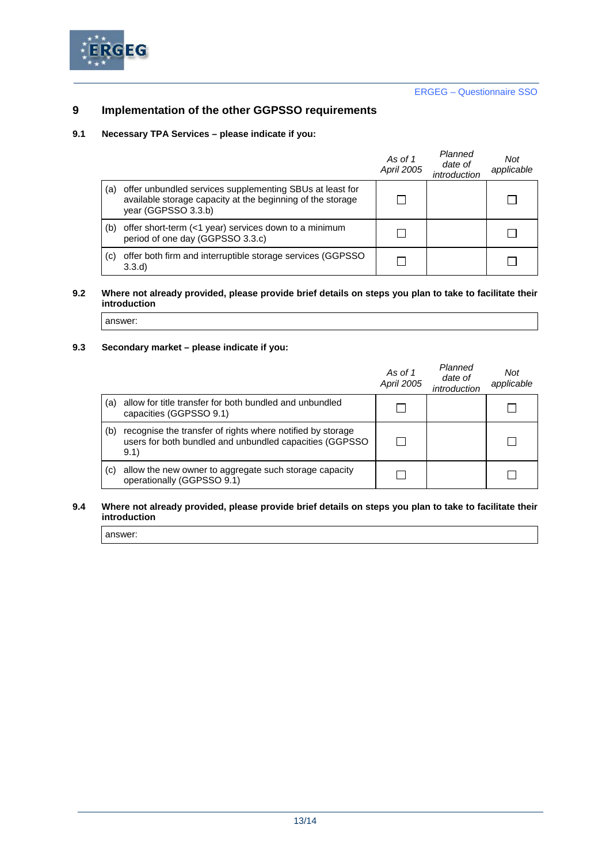

## **9 Implementation of the other GGPSSO requirements**

### **9.1 Necessary TPA Services – please indicate if you:**

|     |                                                                                                                                               | As of 1<br>April 2005 | Planned<br>date of<br>introduction | Not<br>applicable |
|-----|-----------------------------------------------------------------------------------------------------------------------------------------------|-----------------------|------------------------------------|-------------------|
| (a) | offer unbundled services supplementing SBUs at least for<br>available storage capacity at the beginning of the storage<br>year (GGPSSO 3.3.b) |                       |                                    |                   |
| (b) | offer short-term (<1 year) services down to a minimum<br>period of one day (GGPSSO 3.3.c)                                                     |                       |                                    |                   |
| (c) | offer both firm and interruptible storage services (GGPSSO)<br>3.3.d                                                                          |                       |                                    |                   |

### **9.2 Where not already provided, please provide brief details on steps you plan to take to facilitate their introduction**

answer:

# **9.3 Secondary market – please indicate if you:**

|     |                                                                                                                                | As of 1<br>April 2005 | Planned<br>date of<br>introduction | Not<br>applicable |
|-----|--------------------------------------------------------------------------------------------------------------------------------|-----------------------|------------------------------------|-------------------|
| (a) | allow for title transfer for both bundled and unbundled<br>capacities (GGPSSO 9.1)                                             |                       |                                    |                   |
| (b) | recognise the transfer of rights where notified by storage<br>users for both bundled and unbundled capacities (GGPSSO)<br>9.1) |                       |                                    |                   |
| (C) | allow the new owner to aggregate such storage capacity<br>operationally (GGPSSO 9.1)                                           |                       |                                    |                   |

#### **9.4 Where not already provided, please provide brief details on steps you plan to take to facilitate their introduction**

answer: